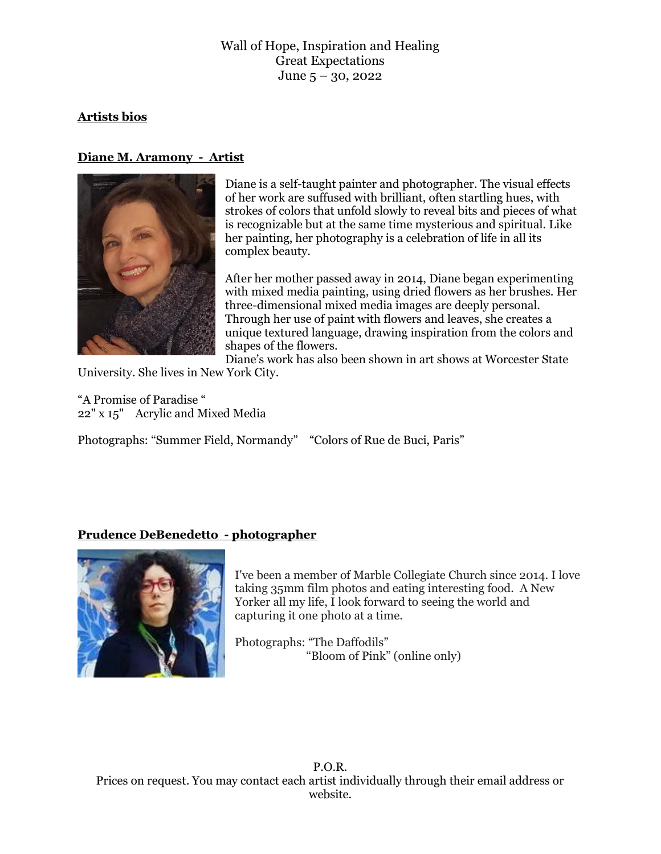# **Artists bios**

# **Diane M. Aramony - Artist**



Diane is a self-taught painter and photographer. The visual effects of her work are suffused with brilliant, often startling hues, with strokes of colors that unfold slowly to reveal bits and pieces of what is recognizable but at the same time mysterious and spiritual. Like her painting, her photography is a celebration of life in all its complex beauty.

After her mother passed away in 2014, Diane began experimenting with mixed media painting, using dried flowers as her brushes. Her three-dimensional mixed media images are deeply personal. Through her use of paint with flowers and leaves, she creates a unique textured language, drawing inspiration from the colors and shapes of the flowers.

Diane's work has also been shown in art shows at Worcester State

University. She lives in New York City.

"A Promise of Paradise " 22" x 15" Acrylic and Mixed Media

Photographs: "Summer Field, Normandy" "Colors of Rue de Buci, Paris"

# **Prudence DeBenedetto - photographer**



I've been a member of Marble Collegiate Church since 2014. I love taking 35mm film photos and eating interesting food. A New Yorker all my life, I look forward to seeing the world and capturing it one photo at a time.

Photographs: "The Daffodils" "Bloom of Pink" (online only)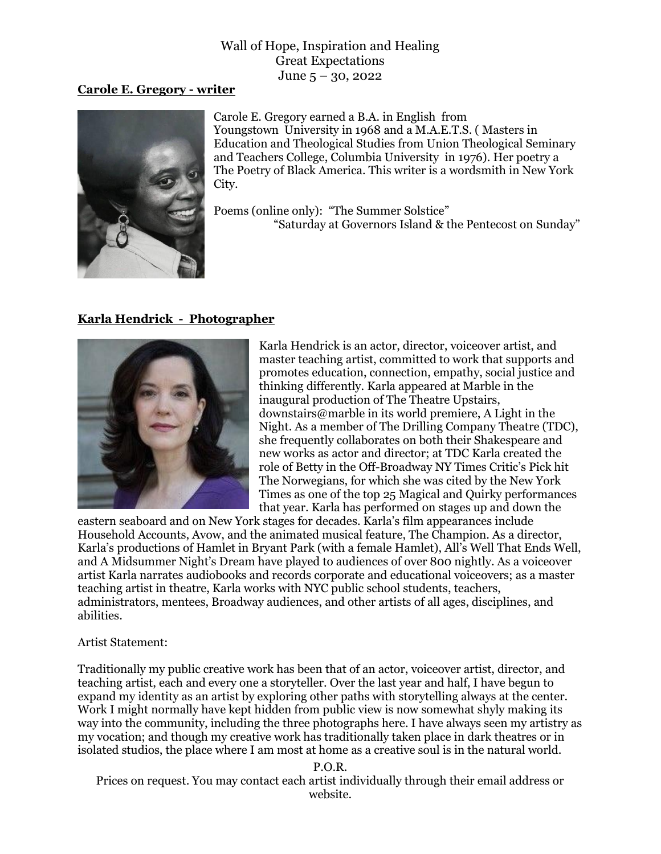#### **Carole E. Gregory - writer**



Carole E. Gregory earned a B.A. in English from Youngstown University in 1968 and a M.A.E.T.S. ( Masters in Education and Theological Studies from Union Theological Seminary and Teachers College, Columbia University in 1976). Her poetry a The Poetry of Black America. This writer is a wordsmith in New York City.

Poems (online only): "The Summer Solstice" "Saturday at Governors Island & the Pentecost on Sunday"

### **Karla Hendrick - Photographer**



Karla Hendrick is an actor, director, voiceover artist, and master teaching artist, committed to work that supports and promotes education, connection, empathy, social justice and thinking differently. Karla appeared at Marble in the inaugural production of The Theatre Upstairs, downstairs@marble in its world premiere, A Light in the Night. As a member of The Drilling Company Theatre (TDC), she frequently collaborates on both their Shakespeare and new works as actor and director; at TDC Karla created the role of Betty in the Off-Broadway NY Times Critic's Pick hit The Norwegians, for which she was cited by the New York Times as one of the top 25 Magical and Quirky performances that year. Karla has performed on stages up and down the

eastern seaboard and on New York stages for decades. Karla's film appearances include Household Accounts, Avow, and the animated musical feature, The Champion. As a director, Karla's productions of Hamlet in Bryant Park (with a female Hamlet), All's Well That Ends Well, and A Midsummer Night's Dream have played to audiences of over 800 nightly. As a voiceover artist Karla narrates audiobooks and records corporate and educational voiceovers; as a master teaching artist in theatre, Karla works with NYC public school students, teachers, administrators, mentees, Broadway audiences, and other artists of all ages, disciplines, and abilities.

#### Artist Statement:

Traditionally my public creative work has been that of an actor, voiceover artist, director, and teaching artist, each and every one a storyteller. Over the last year and half, I have begun to expand my identity as an artist by exploring other paths with storytelling always at the center. Work I might normally have kept hidden from public view is now somewhat shyly making its way into the community, including the three photographs here. I have always seen my artistry as my vocation; and though my creative work has traditionally taken place in dark theatres or in isolated studios, the place where I am most at home as a creative soul is in the natural world.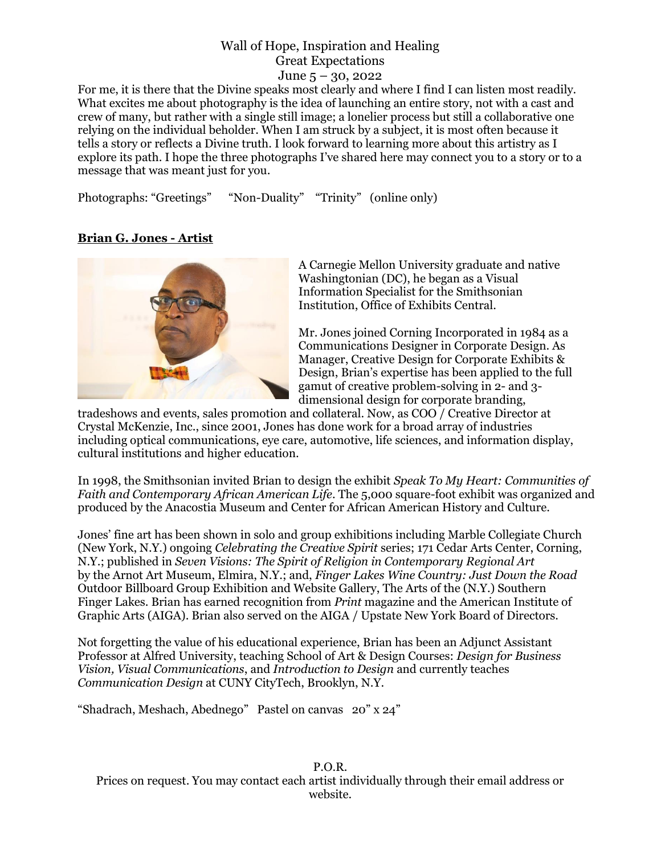For me, it is there that the Divine speaks most clearly and where I find I can listen most readily. What excites me about photography is the idea of launching an entire story, not with a cast and crew of many, but rather with a single still image; a lonelier process but still a collaborative one relying on the individual beholder. When I am struck by a subject, it is most often because it tells a story or reflects a Divine truth. I look forward to learning more about this artistry as I explore its path. I hope the three photographs I've shared here may connect you to a story or to a message that was meant just for you.

Photographs: "Greetings" "Non-Duality" "Trinity" (online only)

# **Brian G. Jones - Artist**



A Carnegie Mellon University graduate and native Washingtonian (DC), he began as a Visual Information Specialist for the Smithsonian Institution, Office of Exhibits Central.

Mr. Jones joined Corning Incorporated in 1984 as a Communications Designer in Corporate Design. As Manager, Creative Design for Corporate Exhibits & Design, Brian's expertise has been applied to the full gamut of creative problem-solving in 2- and 3 dimensional design for corporate branding,

tradeshows and events, sales promotion and collateral. Now, as COO / Creative Director at Crystal McKenzie, Inc., since 2001, Jones has done work for a broad array of industries including optical communications, eye care, automotive, life sciences, and information display, cultural institutions and higher education.

In 1998, the Smithsonian invited Brian to design the exhibit *Speak To My Heart: Communities of Faith and Contemporary African American Life*. The 5,000 square-foot exhibit was organized and produced by the Anacostia Museum and Center for African American History and Culture.

Jones' fine art has been shown in solo and group exhibitions including Marble Collegiate Church (New York, N.Y.) ongoing *Celebrating the Creative Spirit* series; 171 Cedar Arts Center, Corning, N.Y.; published in *Seven Visions: The Spirit of Religion in Contemporary Regional Art* by the Arnot Art Museum, Elmira, N.Y.; and, *Finger Lakes Wine Country: Just Down the Road*  Outdoor Billboard Group Exhibition and Website Gallery, The Arts of the (N.Y.) Southern Finger Lakes. Brian has earned recognition from *Print* magazine and the American Institute of Graphic Arts (AIGA). Brian also served on the AIGA / Upstate New York Board of Directors.

Not forgetting the value of his educational experience, Brian has been an Adjunct Assistant Professor at Alfred University, teaching School of Art & Design Courses: *Design for Business Vision, Visual Communications*, and *Introduction to Design* and currently teaches *Communication Design* at CUNY CityTech, Brooklyn, N.Y.

"Shadrach, Meshach, Abednego" Pastel on canvas 20" x 24"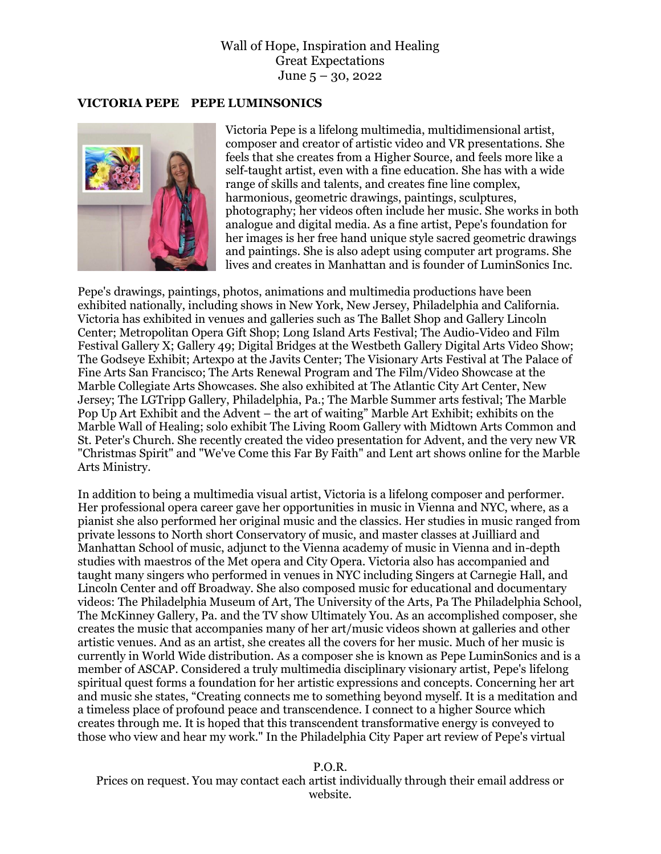#### **VICTORIA PEPE PEPE LUMINSONICS**



Victoria Pepe is a lifelong multimedia, multidimensional artist, composer and creator of artistic video and VR presentations. She feels that she creates from a Higher Source, and feels more like a self-taught artist, even with a fine education. She has with a wide range of skills and talents, and creates fine line complex, harmonious, geometric drawings, paintings, sculptures, photography; her videos often include her music. She works in both analogue and digital media. As a fine artist, Pepe's foundation for her images is her free hand unique style sacred geometric drawings and paintings. She is also adept using computer art programs. She lives and creates in Manhattan and is founder of LuminSonics Inc.

Pepe's drawings, paintings, photos, animations and multimedia productions have been exhibited nationally, including shows in New York, New Jersey, Philadelphia and California. Victoria has exhibited in venues and galleries such as The Ballet Shop and Gallery Lincoln Center; Metropolitan Opera Gift Shop; Long Island Arts Festival; The Audio-Video and Film Festival Gallery X; Gallery 49; Digital Bridges at the Westbeth Gallery Digital Arts Video Show; The Godseye Exhibit; Artexpo at the Javits Center; The Visionary Arts Festival at The Palace of Fine Arts San Francisco; The Arts Renewal Program and The Film/Video Showcase at the Marble Collegiate Arts Showcases. She also exhibited at The Atlantic City Art Center, New Jersey; The LGTripp Gallery, Philadelphia, Pa.; The Marble Summer arts festival; The Marble Pop Up Art Exhibit and the Advent – the art of waiting" Marble Art Exhibit; exhibits on the Marble Wall of Healing; solo exhibit The Living Room Gallery with Midtown Arts Common and St. Peter's Church. She recently created the video presentation for Advent, and the very new VR "Christmas Spirit" and "We've Come this Far By Faith" and Lent art shows online for the Marble Arts Ministry.

In addition to being a multimedia visual artist, Victoria is a lifelong composer and performer. Her professional opera career gave her opportunities in music in Vienna and NYC, where, as a pianist she also performed her original music and the classics. Her studies in music ranged from private lessons to North short Conservatory of music, and master classes at Juilliard and Manhattan School of music, adjunct to the Vienna academy of music in Vienna and in-depth studies with maestros of the Met opera and City Opera. Victoria also has accompanied and taught many singers who performed in venues in NYC including Singers at Carnegie Hall, and Lincoln Center and off Broadway. She also composed music for educational and documentary videos: The Philadelphia Museum of Art, The University of the Arts, Pa The Philadelphia School, The McKinney Gallery, Pa. and the TV show Ultimately You. As an accomplished composer, she creates the music that accompanies many of her art/music videos shown at galleries and other artistic venues. And as an artist, she creates all the covers for her music. Much of her music is currently in World Wide distribution. As a composer she is known as Pepe LuminSonics and is a member of ASCAP. Considered a truly multimedia disciplinary visionary artist, Pepe's lifelong spiritual quest forms a foundation for her artistic expressions and concepts. Concerning her art and music she states, "Creating connects me to something beyond myself. It is a meditation and a timeless place of profound peace and transcendence. I connect to a higher Source which creates through me. It is hoped that this transcendent transformative energy is conveyed to those who view and hear my work." In the Philadelphia City Paper art review of Pepe's virtual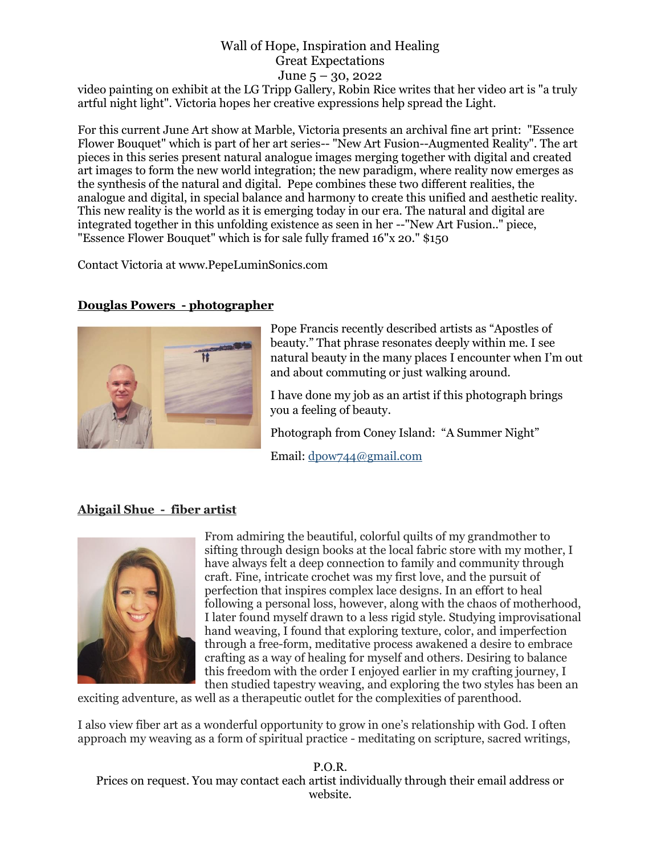video painting on exhibit at the LG Tripp Gallery, Robin Rice writes that her video art is "a truly artful night light". Victoria hopes her creative expressions help spread the Light.

For this current June Art show at Marble, Victoria presents an archival fine art print: "Essence Flower Bouquet" which is part of her art series-- "New Art Fusion--Augmented Reality". The art pieces in this series present natural analogue images merging together with digital and created art images to form the new world integration; the new paradigm, where reality now emerges as the synthesis of the natural and digital. Pepe combines these two different realities, the analogue and digital, in special balance and harmony to create this unified and aesthetic reality. This new reality is the world as it is emerging today in our era. The natural and digital are integrated together in this unfolding existence as seen in her --"New Art Fusion.." piece, "Essence Flower Bouquet" which is for sale fully framed 16"x 20." \$150

Contact Victoria at www.PepeLuminSonics.com

# **Douglas Powers - photographer**



Pope Francis recently described artists as "Apostles of beauty." That phrase resonates deeply within me. I see natural beauty in the many places I encounter when I'm out and about commuting or just walking around.

I have done my job as an artist if this photograph brings you a feeling of beauty.

Photograph from Coney Island: "A Summer Night"

Email: [dpow744@gmail.com](mailto:dpow744@gmail.com)

# **Abigail Shue - fiber artist**



From admiring the beautiful, colorful quilts of my grandmother to sifting through design books at the local fabric store with my mother, I have always felt a deep connection to family and community through craft. Fine, intricate crochet was my first love, and the pursuit of perfection that inspires complex lace designs. In an effort to heal following a personal loss, however, along with the chaos of motherhood, I later found myself drawn to a less rigid style. Studying improvisational hand weaving, I found that exploring texture, color, and imperfection through a free-form, meditative process awakened a desire to embrace crafting as a way of healing for myself and others. Desiring to balance this freedom with the order I enjoyed earlier in my crafting journey, I then studied tapestry weaving, and exploring the two styles has been an

exciting adventure, as well as a therapeutic outlet for the complexities of parenthood.

I also view fiber art as a wonderful opportunity to grow in one's relationship with God. I often approach my weaving as a form of spiritual practice - meditating on scripture, sacred writings,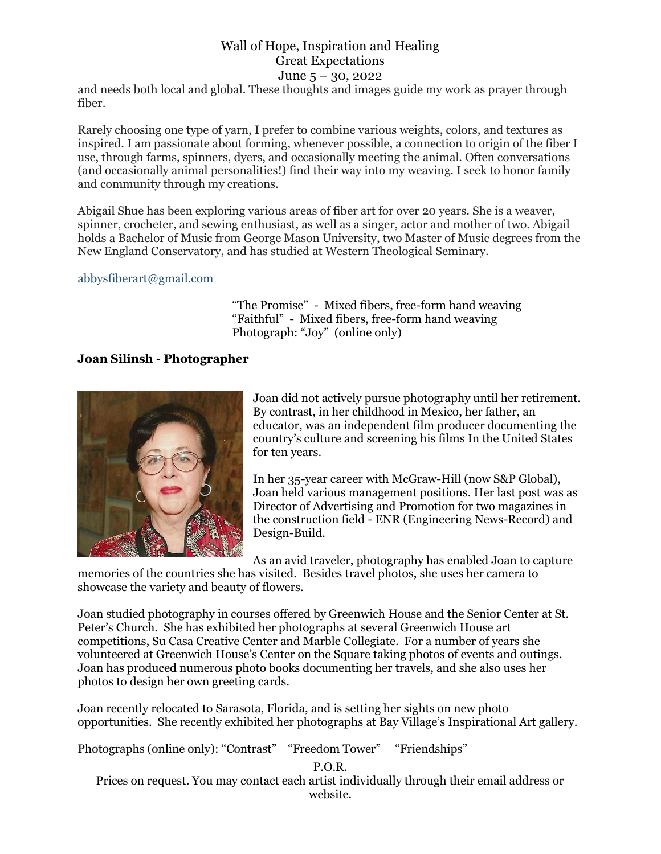and needs both local and global. These thoughts and images guide my work as prayer through fiber.

Rarely choosing one type of yarn, I prefer to combine various weights, colors, and textures as inspired. I am passionate about forming, whenever possible, a connection to origin of the fiber I use, through farms, spinners, dyers, and occasionally meeting the animal. Often conversations (and occasionally animal personalities!) find their way into my weaving. I seek to honor family and community through my creations.

Abigail Shue has been exploring various areas of fiber art for over 20 years. She is a weaver, spinner, crocheter, and sewing enthusiast, as well as a singer, actor and mother of two. Abigail holds a Bachelor of Music from George Mason University, two Master of Music degrees from the New England Conservatory, and has studied at Western Theological Seminary.

#### [abbysfiberart@gmail.com](mailto:abbysfiberart@gmail.com)

 "The Promise" - Mixed fibers, free-form hand weaving "Faithful" - Mixed fibers, free-form hand weaving Photograph: "Joy" (online only)

### **Joan Silinsh - Photographer**



Joan did not actively pursue photography until her retirement. By contrast, in her childhood in Mexico, her father, an educator, was an independent film producer documenting the country's culture and screening his films In the United States for ten years.

In her 35-year career with McGraw-Hill (now S&P Global), Joan held various management positions. Her last post was as Director of Advertising and Promotion for two magazines in the construction field - ENR (Engineering News-Record) and Design-Build.

As an avid traveler, photography has enabled Joan to capture

memories of the countries she has visited. Besides travel photos, she uses her camera to showcase the variety and beauty of flowers.

Joan studied photography in courses offered by Greenwich House and the Senior Center at St. Peter's Church. She has exhibited her photographs at several Greenwich House art competitions, Su Casa Creative Center and Marble Collegiate. For a number of years she volunteered at Greenwich House's Center on the Square taking photos of events and outings. Joan has produced numerous photo books documenting her travels, and she also uses her photos to design her own greeting cards.

Joan recently relocated to Sarasota, Florida, and is setting her sights on new photo opportunities. She recently exhibited her photographs at Bay Village's Inspirational Art gallery.

Photographs (online only): "Contrast" "Freedom Tower" "Friendships"

P.O.R.